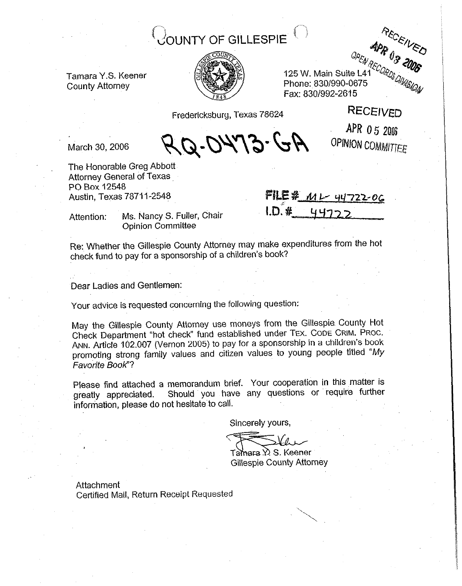# **OUNTY OF GILLESPIE**



 $-$ <br>125 W. Main Suite L41<sup>2CORDS</sup> Phone:~839/990-0675 Fax: 8301992-2615

Fredericksburg, Texas 78624 RECEIVED

Q-DYY3-GA

APR 05 2006 OPINION COMMITTEE

March 30, 2006

Tamara Y.S. Keener County Attorney

The Honorable Greg Abbott Attorney General of Texas PO Box 12548 Austin, Texas 78711-2548

FILE #  $M - 44722 - 06$  $LD.$  #

Attention: Ms. Nancy S. Fuller, Chair Opinion Committee

Re: Whether the Gillespie County Attorney may make expenditures from the hot check fund to pay for a sponsorship of a children's book?

Dear Ladies and Gentlemen:

Your advice is requested concerning the following question:

May the Gillespie County Attorney use moneys from the Gillespie. County Hot Check Department "hot check" fund established under TEX. CODE GRIM. PROC. ANN. Article 162.007 (Vernon 2005) to pay for a sponsorship in a children's book promoting strong family values and citizen values to young people titled *"My Favorite Book"?* 

Please find attached a memorandum brief. Your cooperation in this matter is greatly appreciated. Should you have any questions or require further Should you have any questions or require further information, please do not hesitate to call.

Sincerely yours,

Tamara V S. Keener Gillespie County Attorney

Attachment Certified Mail, Return Receipt Requested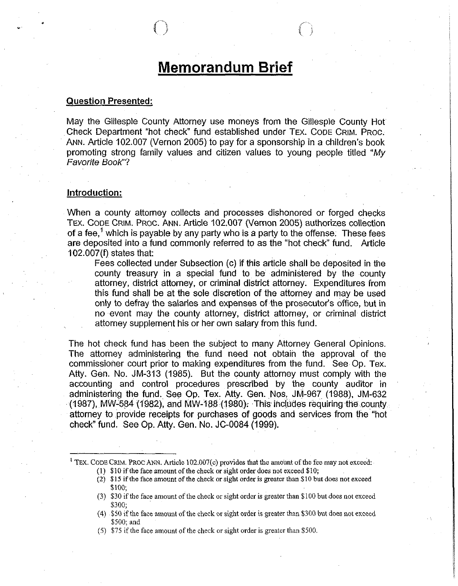# **Memorandum Brief**

#### **Question Presented:**

May the Gillespie County Attorney use moneys from the Gillespie County Hot Check Department "hot check" fund established under TEX. CODE GRIM. PROC. ANN. Article 102.007 (Vernon 2005) to pay for a sponsorship in a children's book promoting strong family values and citizen values to young people titled *"My Favorite BOOK'?* 

### **Introduction:**

'When a county attorney collects and processes dishonored or forged checks TEX. CODE GRIM. PROC. ANN. Article 102.007 (Vernon 2005) authorizes collection of a fee,<sup>1</sup> which is payable by any party who is a party to the offense. These fees are deposited into a fund commonly referred to as the "hot check" fund. Article 102.007(f) states that:

Fees collected under Subsection (c) if this article shall be deposited in the county treasury in a special fund to be administered by the county attorney, district attorney, or criminal district attorney. Expenditures from this fund shall be at the sole discretion of the attorney and may be used only to defray the salaries and expenses of the prosecutor's office, but in no event may the county attorney, district attorney, or criminal district attorney supplement his or her own salary from this fund.

The hot check fund has been the subject to many Attorney General Opinions. The attorney administering the, fund need not obtaih the approval of the commissioner court prior to making expenditures from the fund. See Op. Tex. Atty. Gen. No. JM-313 (1985). But the county attorney must comply with the accounting and control procedures prescribed by the county auditor in administering the fund. See Op. Tex. Atty. Gen. Nos. JM-967 (1988), JM-632  $(1987)$ , MW-584  $(1982)$ , and MW-188  $(1980)$ . This includes requiring the county, attorney to provide receipts for purchases of goods and services from the "hot check" fund. See Op. Atty. Gen. No. JC-0084 (1999).

<sup>&</sup>lt;sup>1</sup> TEX. CODE CRIM. PROC ANN. Article 102.007(c) provides that the amount of the fee may not exceed: (1) \$10 if the face amount of the check or sight order does not exceed \$10;

<sup>(2) \$15</sup> if the face amount of the check or sight order is greater than \$10 but does not exceed \$100;

<sup>(3) \$30</sup> if the face amount of the check or sight order is greater than \$100 but does not exceed \$300;

 $(4)$  \$50 if the face amount of the check or sight order is greater than \$300 but does not exceed \$500; and

<sup>(5)</sup> \$75 if the face amount of the check or sight order is greater than \$500.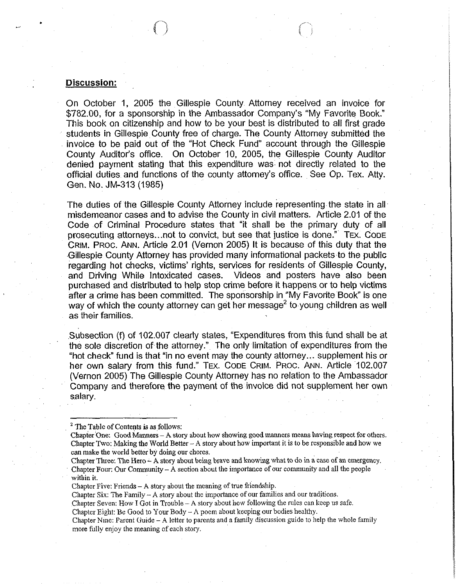#### **Discussion:**

On October 1, 2005 the Gillespie County Attorney received an invoice for \$782.00, for a sponsorship in the Ambassador Company's "My Favorite Book." This book on citizenship and how to be your best is distributed to all first grade students in Gillespie County free of charge. The County Attorney submitted the invoice to be paid out of the "Hot Check Fund" account through the Gillespie County Auditor's office. On October IO, 2005, the Gillespie County Auditor denied payment stating that this expenditure was not directly related to the official duties and functions of the county attorney's office. See Op. Tex. Atty. Gen. No. JM-313 (1985)

The duties of the Gillespie County Attorney include representing the state in all misdemeanor cases and to advise the County in civil matters. Article 2.01 of the Code of Criminal Procedure states that "it shall be the primary duty of all prosecuting attorneys...not to convict, but see that justice is done." TEX. CODE GRIM. PROC. ANN. Article 2.01 (Vernon 2005) It is because of this duty that the .Gillespie County Attorney has provided many informational packets.to the public regarding hot checks, victims' rights, services for residents of Gillespie County, and Driving While Intoxicated cases. Videos and posters have also been purchased and distributed to help stop crime before it happens or to help victims after a crime has been committed. The sponsorship in "My Favorite Book" is one way of which the county attorney can get her message<sup>2</sup> to young children as well as their families.

.Subsection (f) of 102.007 clearly states, "Expenditures from this fund shall be at the sole discretion of the attorney." The only limitation of expenditures from the "hot check" fund is that "in no event may the county attorney... supplement his or her own salary from this fund." TEX. CODE CRIM. PROC. ANN. Article 102.007 (Vernon 2005) The Gillespie County Attorney has no relation to the Ambassador Company and therefore the payment of the invoice did not supplement her own salary.

Chapter Three: The Hero  $-\mathbf{A}$  story about being brave and knowing what to do in a case of an emergency. Chapter Four: Our Community-A section about the importance of our community and all the people within it.

Chapter Five: Friends - A story about the meaning of true friendship.

Chapter Six: The Family  $-A$  story about the importance of our families and our traditions.

Chapter Seven: How I Got in Trouble-A story about how following the rules can keep us safe.

Chapter Eight: Be Good to Your Body - A poem about keeping our bodies healthy.

Chapter Nine: Parent Guide - A letter to parents and a family discussion guide to help the whole family more fully enjoy the meaning of each story.

 $2^2$  The Table of Contents is as follows:

Chapter One: Good Manners - A story about how showing good manners means having respect for others. Chapter Two: Making the World Better  $-A$  story about how important it is to be responsible and how we can make the world better by doing our chores.